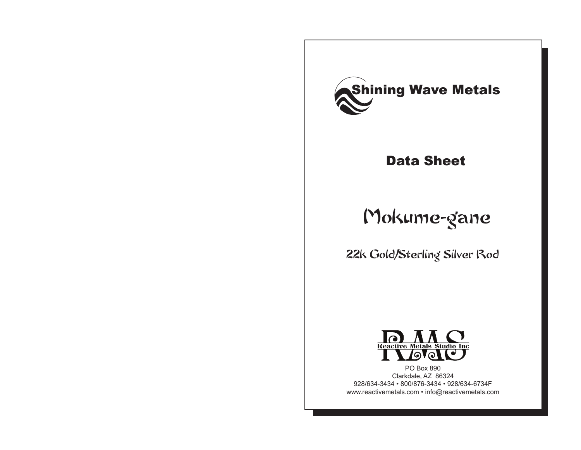

## Data Sheet

# Mokume-gane

22k Gold/Sterling Silver Rod



Clarkdale, AZ 86324 928/634-3434 • 800/876-3434 • 928/634-6734F www.reactivemetals.com • info@reactivemetals.com